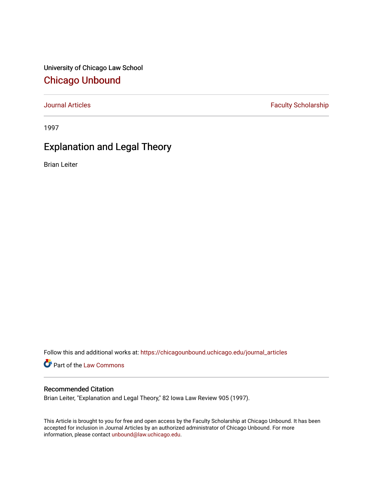University of Chicago Law School [Chicago Unbound](https://chicagounbound.uchicago.edu/)

[Journal Articles](https://chicagounbound.uchicago.edu/journal_articles) **Faculty Scholarship Faculty Scholarship** 

1997

## Explanation and Legal Theory

Brian Leiter

Follow this and additional works at: [https://chicagounbound.uchicago.edu/journal\\_articles](https://chicagounbound.uchicago.edu/journal_articles?utm_source=chicagounbound.uchicago.edu%2Fjournal_articles%2F1556&utm_medium=PDF&utm_campaign=PDFCoverPages) 

Part of the [Law Commons](http://network.bepress.com/hgg/discipline/578?utm_source=chicagounbound.uchicago.edu%2Fjournal_articles%2F1556&utm_medium=PDF&utm_campaign=PDFCoverPages)

## Recommended Citation

Brian Leiter, "Explanation and Legal Theory," 82 Iowa Law Review 905 (1997).

This Article is brought to you for free and open access by the Faculty Scholarship at Chicago Unbound. It has been accepted for inclusion in Journal Articles by an authorized administrator of Chicago Unbound. For more information, please contact [unbound@law.uchicago.edu](mailto:unbound@law.uchicago.edu).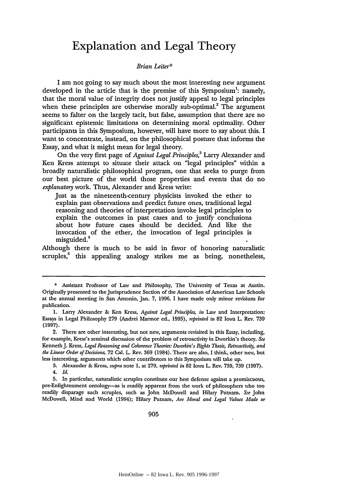## **Explanation and Legal Theory**

## *Brian Leiter\**

I am not going to say much about the most interesting new argument developed in the article that is the premise of this Symposium': namely, that the moral value of integrity does not justify appeal to legal principles when these principles are otherwise morally sub-optimal.<sup>2</sup> The argument seems to falter on the largely tacit, but false, assumption that there are no significant epistemic limitations on determining moral optimality. Other participants in this Symposium, however, will have more to say about this. I want to concentrate, instead, on the philosophical posture that informs the Essay, and what it might mean for legal theory.

On the very first page of *Against Legal Principles,3* Larry Alexander and Ken Kress attempt to situate their attack on "legal principles" within a broadly naturalistic philosophical program, one that seeks to purge from our best picture of the world those properties and events that do no *explanatory* work. Thus, Alexander and Kress write:

Just as the nineteenth-century physicists invoked the ether to explain past observations and predict future ones, traditional legal reasoning and theories of interpretation invoke legal principles to explain the outcomes in past cases and to justify conclusions about how future cases should be decided. And like the invocation of the ether, the invocation of legal principles is misguided.<sup>4</sup>

Although there is much to be said in favor of honoring naturalistic scruples,<sup>5</sup> this appealing analogy strikes me as being, nonetheless,

3. Alexander & Kress, *supra* note 1, at 279, *reprinted in* 82 Iowa L. Rev. 739, 739 (1997).

<sup>\*</sup> Assistant Professor of Law and Philosophy, The University of Texas at Austin. Originally presented to the jurisprudence Section of the Association of American Law Schools at the annual meeting in San Antonio, Jan. 7, 1996. I have made only minor revisions for publication.

<sup>1.</sup> Larry Alexander & Ken Kress, *Against Legal Principles, in* Law and Interpretation: Essays in Legal Philosophy 279 (Andrei Marmor ed., 1995), *reprinted in* 82 Iowa L. Rev. 739 (1997).

<sup>2.</sup> There are other interesting, but not new, arguments revisited in this Essay, including, for example, Kress's seminal discussion of the problem of retroactivity in Dworkin's theory. *See* Kenneth J. Kress, *Legal Reasoning and Coherence Theories: Dworkin's Rights Thesis, Retroactivity, and the Linear Order of Decisions,* 72 Cal. L. Rev. **369** (1984). There are also, I think, other new, but less interesting, arguments which other contributors to this Symposium will take up.

<sup>4.</sup> *Id.*

**<sup>5.</sup>** In particular, naturalistic scruples constitute our best defense against a promiscuous, pre-Enlightenment ontology-as is readily apparent from the work of philosophers who too readily disparage such scruples, such as John McDowell and Hilary Putnam. *See* John McDowell, Mind and World (1994); Hilary Putnam, *Are Moral and Legal Values Made or*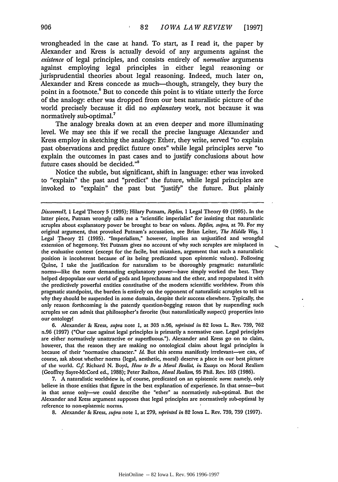wrongheaded in the case at hand. To start, as **I** read it, the paper **by** Alexander and Kress is actually devoid of any arguments against the *existence* of legal principles, and consists entirely of *normative* arguments against employing legal principles in either legal reasoning or jurisprudential theories about legal reasoning. Indeed, much later on, Alexander and Kress concede as much-though, strangely, they bury the point in a footnote.<sup>6</sup> But to concede this point is to vitiate utterly the force of the analogy: ether was dropped from our best naturalistic picture of the world precisely because it did no *explanatory* work, not because it was normatively sub-optimal.<sup>7</sup>

The analogy breaks down at an even deeper and more illuminating level. We may see this if we recall the precise language Alexander and Kress employ in sketching the analogy: Ether, they write, served "to explain past observations and predict future ones" while legal principles serve "to explain the outcomes in past cases and to justify conclusions about how future cases should be decided."8

Notice the subtle, but significant, shift in language: ether was invoked to "explain" the past and "predict" the future, while legal principles are invoked to "explain" the past but "justify" the future. But plainly

6. Alexander **&** *Kress, supra* note 1, at **303** n.96, *reprinted* in 82 Iowa L. Rev. 739, **762** n.96 (1997) ("Our case against legal principles is primarily a normative case. Legal principles are either normatively unattractive or superfluous."). Alexander and Kress go on to claim, however, that the reason they are making no ontological claim about legal principles is because of their "normative character." *Id.* But this seems manifestly irrelevant-we can, of course, ask about whether norms (legal, aesthetic, moral) deserve a place in our best picture of the world. *Cf* Richard N. Boyd, *How to Be a Moral Realis, in* Essays on Moral Realism (Geoffrey Sayre-McCord ed., 1988); Peter Railton, *Moral Realism,* **95** Phil. Rev. 163 (1986).

7. A naturalistic worldview is, of course, predicated on an epistemic norm: namely, only believe in those entities that figure in the best explanation of experience. In that sense-but in that sense only-we could describe the "ether" as normatively sub-optimal. But the Alexander and Kress argument supposes that legal principles are normatively sub-optimal by reference to non-epistemic norms.

**8.** Alexander **&** Kress, *supra* note 1, at 279, *reprinted in* 82 Iowa L. Rev. 739, 739 (1997).

Discovered?, 1 Legal Theory **5 (1995);** Hilary Putnam, *Replies,* 1 Legal Theory **69 (1995).** In the latter piece, Putnam wrongly calls me a "scientific imperialist" for insisting that naturalistic scruples about explanatory power be brought to bear on values. *Replies, supra,* at 70. For my original argument, that provoked Putnam's accusation, see Brian Leiter, *The Middle Way, 1* Legal Theory 21 (1995). "Imperialism," however, implies an unjustified and wrongful extension of hegemony. Yet Putnam gives no account of why such scruples are misplaced in the evaluative context (except for the facile, but mistaken, argument that such a naturalistic position is incoherent because of its being predicated upon epistemic values). Following Quine, I take the justification for naturalism to be thoroughly pragmatic: naturalistic norms-like the norm demanding explanatory power-have simply worked the best. They helped depopulate our world of gods and leprechauns and the ether, and repopulated it with the predictively powerful entities constitutive of the modem scientific worldview. From this pragmatic standpoint, the burden is entirely on the opponent of naturalistic scruples to tell us why they should be suspended in some domain, despite their success elsewhere. Typically, the only reason forthcoming is the patently question-begging reason that by suspending such scruples we can admit that philosopher's favorite (but naturalistically suspect) properties into our ontology!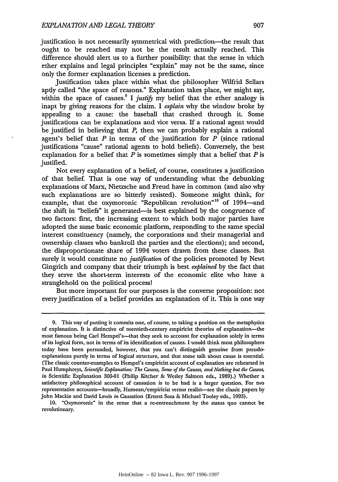justification is not necessarily symmetrical with prediction-the result that ought to be reached may not be the result actually reached. This difference should alert us to a further possibility: that the sense in which ether explains and legal principles "explain" may not be the same, since only the former explanation licenses a prediction.

Justification takes place within what the philosopher Wilfrid Sellars aptly called "the space of reasons'" Explanation takes place, we might say, within the space of causes.<sup>9</sup> I justify my belief that the ether analogy is inapt by giving reasons for the claim. I *explain* why the window broke by appealing to a cause: the baseball that crashed through it. Some justifications can be explanations and vice versa. If a rational agent would be justified in believing that *P,* then we can probably explain a rational agent's belief that *P* in terms of the justification for *P* (since rational justifications "cause" rational agents to hold beliefs). Conversely, the best explanation for a belief that *P* is sometimes simply that a belief that *P* is justified.

Not every explanation of a belief, of course, constitutes a justification of that belief. That is one way of understanding what the debunking explanations of Marx, Nietzsche and Freud have in common (and also why such explanations are so bitterly resisted). Someone might think, for example, that the oxymoronic "Republican revolution"<sup>10</sup> of 1994-and the shift in "beliefs" it generated-is best explained by the congruence of two factors: first, the increasing extent to which both major parties have adopted the same basic economic platform, responding to the same special interest constituency (namely, the corporations and their managerial and ownership classes who bankroll the parties and the elections); and second, the disproportionate share of 1994 voters drawn from these classes. But surely it would constitute no *justification* of the policies promoted by Newt Gingrich and company that their triumph is best *explained* by the fact that they serve the short-term interests of the economic elite who have a stranglehold on the political process!

But more important for our purposes is the converse proposition: not every justification of a belief provides an explanation of it. This is one way

10. "Oxymoronic" in the sense that a re-entrenchment by the status quo cannot be revolutionary.

<sup>9.</sup> This way of putting it commits one, of course, to taking a position on the metaphysics of explanation. It is distinctive of twentieth-century empiricist theories of explanation-the most famous being Carl Hempel's-that they seek to account for explanation solely in terms of its logical form, not in terms of its identification of causes. I would think most philosophers today have been persuaded, however, that you can't distinguish genuine from pseudoexplanations purely in terms of logical structure, and that some talk about cause is essential. (The classic counter-examples to Hempel's empiricist account of explanation are rehearsed in Paul Humphreys, *Scientific Explanation: The Causes, Some of the Causes, and Nothing but the Causes, in* Scientific Explanation 300-01 (Philip Kitcher & Wesley Salmon eds., 1989).) Whether a satisfactory philosophical account of causation is to be had is a larger question. For two representative accounts—broadly, Humean/empiricist versus realist—see the classic papers by John Mackie and David Lewis *in* Causation (Ernest Sosa **&** Michael Tooley eds., 1993).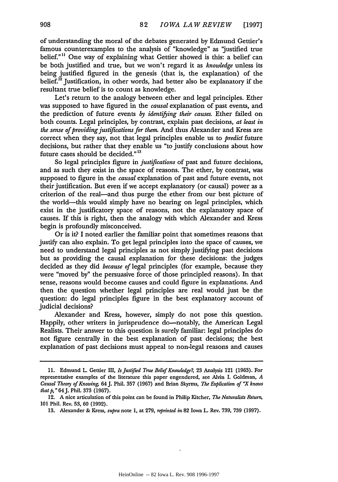of understanding the moral of the debates generated **by** Edmund Gettier's famous counterexamples to the analysis of "knowledge" as "justified true belief."" One way of explaining what Gettier showed is this: a belief can be both justified and true, but we won't regard it as *knowledge* unless its being justified figured in the genesis (that is, the explanation) of the belief.<sup>12</sup> Justification, in other words, had better also be explanatory if the resultant true belief is to count as knowledge.

Let's return to the analogy between ether and legal principles. Ether was supposed to have figured in the *causal* explanation of past events, and the prediction of future events *by identifying their causes.* Ether failed on both counts. Legal principles, **by** contrast, explain past decisions, *at least in the sense of providing justifications for them.* And thus Alexander and Kress are correct when they say, not that legal principles enable us to *predict* future decisions, but rather that they enable us "to justify conclusions about how future cases should be decided."<sup>13</sup>

So legal principles figure in *justifications* of past and future decisions, and as such they exist in the space of reasons. The ether, **by** contrast, was supposed to figure in the *causal* explanation of past and future events, not their justification. But even if we accept explanatory (or causal) power as a criterion of the real-and thus purge the ether from our best picture of the world-this would simply have no bearing on legal principles, which exist in the justificatory space of reasons, not the explanatory space of causes. **If** this is right, then the analogy with which Alexander and Kress begin is profoundly misconceived.

Or is it? I noted earlier the familiar point that sometimes reasons that justify can also explain. To get legal principles into the space of causes, we need to understand legal principles as not simply justifying past decisions but as providing the causal explanation for these decisions: the judges decided as they did *because of* legal principles (for example, because they were "moved **by"** the persuasive force of those principled reasons). In that sense, reasons would become causes and could figure in explanations. And then the question whether legal principles are real would just be the question: do legal principles figure in the best explanatory account of judicial decisions?

Alexander and Kress, however, simply do not pose this question. Happily, other writers in jurisprudence do—notably, the American Legal Realists. Their answer to this question is surely familiar: legal principles do not figure centrally in the best explanation of past decisions; the best explanation of past decisions must appeal to non-legal reasons and causes

**<sup>11.</sup>** Edmund L. Gettier III, *IsJustified True Belief Knowledge?,* **23** Analysis 121 **(1963).** For representative examples of the literature this paper engendered, see Alvin **1.** Goldman, *A Causal Theoy of Knowing,* 64J. Phil. **357** (1967) and Brian Skyrms, *The Explication of "X knows that p,* "64J. Phil. **373 (1967).**

<sup>12.</sup> **A** nice articulation of this point can be found in Philip Kitcher, *The Naturalists Return,* **101** Phil. Rev. **53,** 60 (1992).

<sup>13.</sup> Alexander & *Kress, supra* note 1, at 279, *reprinted in* 82 Iowa L. Rev. 739, 739 (1997).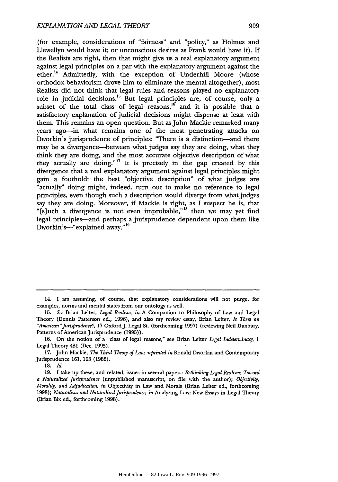(for example, considerations of "fairness" and "policy," as Holmes and Llewellyn would have it; or unconscious desires as Frank would have it). If the Realists are right, then that might give us a real explanatory argument against legal principles on a par with the explanatory argument against the ether.<sup>14</sup> Admittedly, with the exception of Underhill Moore (whose orthodox behaviorism drove him to eliminate the mental altogether), most Realists did not think that legal rules and reasons played no explanatory role in judicial decisions.<sup>15</sup> But legal principles are, of course, only a subset of the total class of legal reasons,  $16$  and it is possible that a satisfactory explanation of judicial decisions might dispense at least with them. This remains an open question. But as John Mackie remarked many years ago-in what remains one of the most penetrating attacks on Dworkin's jurisprudence of principles: "There is a distinction-and there may be a divergence-between what judges say they are doing, what they think they are doing, and the most accurate objective description of what they actually are doing."<sup>17</sup> It is precisely in the gap created by this divergence that a real explanatory argument against legal principles might gain a foothold: the best "objective description" of what judges are "actually" doing might, indeed, turn out to make no reference to legal principles, even though such a description would diverge from what judges say they are doing. Moreover, if Mackie is right, as I suspect he is, that "[s]uch a divergence is not even improbable,"<sup>18</sup> then we may yet find legal principles-and perhaps a jurisprudence dependent upon them like Dworkin's-"explained away."<sup>19</sup>

**18.** *Id.*

<sup>14.</sup> I am assuming, of course, that explanatory considerations will not purge, for examples, norms and mental states from our ontology as well.

**<sup>15.</sup>** *See* Brian Leiter, *Legal Realism, in* A Companion to Philosophy of Law and Legal Theory (Dennis Patterson ed., 1996), and also my review essay, Brian Leiter, *Is There an "American"Jurisprudence?,* 17 OxfordJ. Legal St. (forthcoming 1997) (reviewing Neil Duxbury, Patterns of American Jurisprudence (1995)).

<sup>16.</sup> On the notion of a "class of legal reasons," see Brian Leiter *Legal Indeterminacy, 1* Legal Theory 481 (Dec. 1995).

<sup>17.</sup> John Mackie, *The Third Theory of Law, reprinted in* Ronald Dworkin and Contemporary Jurisprudence 161, 163 (1983).

<sup>19.</sup> I take up these, and related, issues in several papers: *Rethinking Legal Realism: Toward a Naturalized Jurisprudence* (unpublished manuscript, on file with the author); *Objectivity, Morality, and Adjudication, in* Objectivity in Law and Morals (Brian Leiter ed., forthcoming 1998); *Naturalism and Naturalized Jurisprudence in* Analyzing Law. New Essays in Legal Theory (Brian Bix ed., forthcoming 1998).